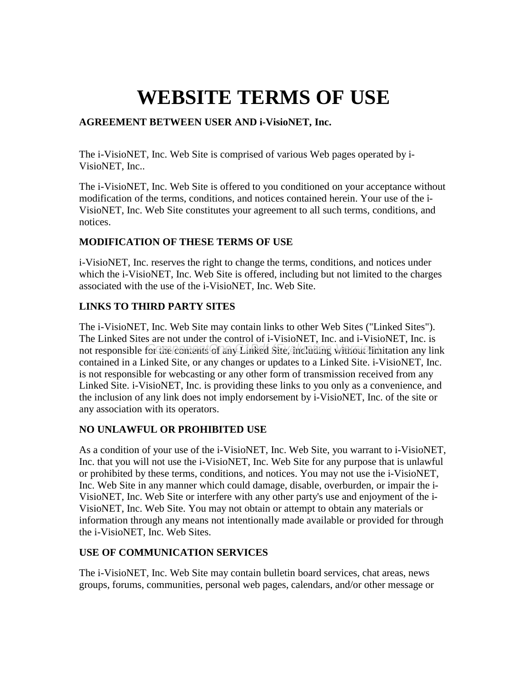# **WEBSITE TERMS OF USE**

### **AGREEMENT BETWEEN USER AND i-VisioNET, Inc.**

The i-VisioNET, Inc. Web Site is comprised of various Web pages operated by i-VisioNET, Inc..

The i-VisioNET, Inc. Web Site is offered to you conditioned on your acceptance without modification of the terms, conditions, and notices contained herein. Your use of the i-VisioNET, Inc. Web Site constitutes your agreement to all such terms, conditions, and notices.

## **MODIFICATION OF THESE TERMS OF USE**

i-VisioNET, Inc. reserves the right to change the terms, conditions, and notices under which the i-VisioNET, Inc. Web Site is offered, including but not limited to the charges associated with the use of the i-VisioNET, Inc. Web Site.

# **LINKS TO THIRD PARTY SITES**

The i-VisioNET, Inc. Web Site may contain links to other Web Sites ("Linked Sites"). The Linked Sites are not under the control of i-VisioNET, Inc. and i-VisioNET, Inc. is not responsible for the contents of any Linked Site, including without limitation any link contained in a Linked Site, or any changes or updates to a Linked Site. i-VisioNET, Inc. is not responsible for webcasting or any other form of transmission received from any Linked Site. i-VisioNET, Inc. is providing these links to you only as a convenience, and the inclusion of any link does not imply endorsement by i-VisioNET, Inc. of the site or any association with its operators.

#### **NO UNLAWFUL OR PROHIBITED USE**

As a condition of your use of the i-VisioNET, Inc. Web Site, you warrant to i-VisioNET, Inc. that you will not use the i-VisioNET, Inc. Web Site for any purpose that is unlawful or prohibited by these terms, conditions, and notices. You may not use the i-VisioNET, Inc. Web Site in any manner which could damage, disable, overburden, or impair the i-VisioNET, Inc. Web Site or interfere with any other party's use and enjoyment of the i-VisioNET, Inc. Web Site. You may not obtain or attempt to obtain any materials or information through any means not intentionally made available or provided for through the i-VisioNET, Inc. Web Sites.

#### **USE OF COMMUNICATION SERVICES**

The i-VisioNET, Inc. Web Site may contain bulletin board services, chat areas, news groups, forums, communities, personal web pages, calendars, and/or other message or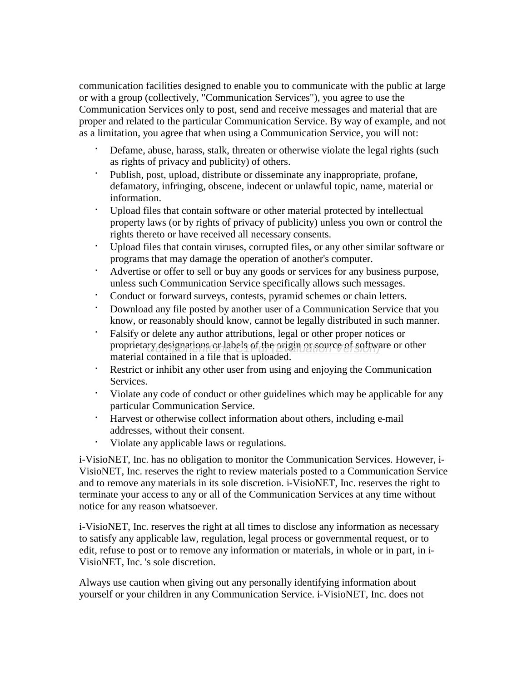communication facilities designed to enable you to communicate with the public at large or with a group (collectively, "Communication Services"), you agree to use the Communication Services only to post, send and receive messages and material that are proper and related to the particular Communication Service. By way of example, and not as a limitation, you agree that when using a Communication Service, you will not:

- Defame, abuse, harass, stalk, threaten or otherwise violate the legal rights (such as rights of privacy and publicity) of others.
- · Publish, post, upload, distribute or disseminate any inappropriate, profane, defamatory, infringing, obscene, indecent or unlawful topic, name, material or information.
- · Upload files that contain software or other material protected by intellectual property laws (or by rights of privacy of publicity) unless you own or control the rights thereto or have received all necessary consents.
- Upload files that contain viruses, corrupted files, or any other similar software or programs that may damage the operation of another's computer.
- Advertise or offer to sell or buy any goods or services for any business purpose, unless such Communication Service specifically allows such messages.
- · Conduct or forward surveys, contests, pyramid schemes or chain letters.
- · Download any file posted by another user of a Communication Service that you know, or reasonably should know, cannot be legally distributed in such manner.
- · Falsify or delete any author attributions, legal or other proper notices or proprietary designations or labels of the <u>origin or source</u> of software or other material contained in a file that is uploaded.
- · Restrict or inhibit any other user from using and enjoying the Communication Services.
- · Violate any code of conduct or other guidelines which may be applicable for any particular Communication Service.
- Harvest or otherwise collect information about others, including e-mail addresses, without their consent.
- · Violate any applicable laws or regulations.

i-VisioNET, Inc. has no obligation to monitor the Communication Services. However, i-VisioNET, Inc. reserves the right to review materials posted to a Communication Service and to remove any materials in its sole discretion. i-VisioNET, Inc. reserves the right to terminate your access to any or all of the Communication Services at any time without notice for any reason whatsoever.

i-VisioNET, Inc. reserves the right at all times to disclose any information as necessary to satisfy any applicable law, regulation, legal process or governmental request, or to edit, refuse to post or to remove any information or materials, in whole or in part, in i-VisioNET, Inc. 's sole discretion.

Always use caution when giving out any personally identifying information about yourself or your children in any Communication Service. i-VisioNET, Inc. does not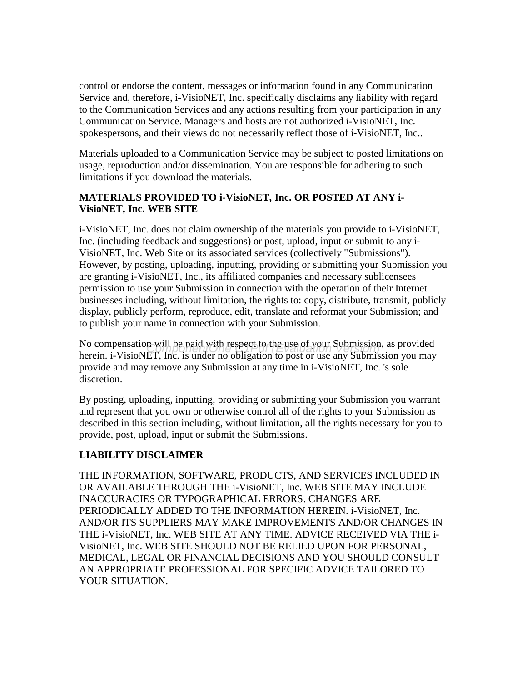control or endorse the content, messages or information found in any Communication Service and, therefore, i-VisioNET, Inc. specifically disclaims any liability with regard to the Communication Services and any actions resulting from your participation in any Communication Service. Managers and hosts are not authorized i-VisioNET, Inc. spokespersons, and their views do not necessarily reflect those of i-VisioNET, Inc..

Materials uploaded to a Communication Service may be subject to posted limitations on usage, reproduction and/or dissemination. You are responsible for adhering to such limitations if you download the materials.

#### **MATERIALS PROVIDED TO i-VisioNET, Inc. OR POSTED AT ANY i-VisioNET, Inc. WEB SITE**

i-VisioNET, Inc. does not claim ownership of the materials you provide to i-VisioNET, Inc. (including feedback and suggestions) or post, upload, input or submit to any i-VisioNET, Inc. Web Site or its associated services (collectively "Submissions"). However, by posting, uploading, inputting, providing or submitting your Submission you are granting i-VisioNET, Inc., its affiliated companies and necessary sublicensees permission to use your Submission in connection with the operation of their Internet businesses including, without limitation, the rights to: copy, distribute, transmit, publicly display, publicly perform, reproduce, edit, translate and reformat your Submission; and to publish your name in connection with your Submission.

No compensation will be paid with respect to the use of your Submission, as provided herein *i* Misie NET the *invidence* of limitation to next expression very mean herein. i-VisioNET, Inc. is under no obligation to post or use any Submission you may provide and may remove any Submission at any time in i-VisioNET, Inc. 's sole discretion.

By posting, uploading, inputting, providing or submitting your Submission you warrant and represent that you own or otherwise control all of the rights to your Submission as described in this section including, without limitation, all the rights necessary for you to provide, post, upload, input or submit the Submissions.

#### **LIABILITY DISCLAIMER**

THE INFORMATION, SOFTWARE, PRODUCTS, AND SERVICES INCLUDED IN OR AVAILABLE THROUGH THE i-VisioNET, Inc. WEB SITE MAY INCLUDE INACCURACIES OR TYPOGRAPHICAL ERRORS. CHANGES ARE PERIODICALLY ADDED TO THE INFORMATION HEREIN. i-VisioNET, Inc. AND/OR ITS SUPPLIERS MAY MAKE IMPROVEMENTS AND/OR CHANGES IN THE i-VisioNET, Inc. WEB SITE AT ANY TIME. ADVICE RECEIVED VIA THE i-VisioNET, Inc. WEB SITE SHOULD NOT BE RELIED UPON FOR PERSONAL, MEDICAL, LEGAL OR FINANCIAL DECISIONS AND YOU SHOULD CONSULT AN APPROPRIATE PROFESSIONAL FOR SPECIFIC ADVICE TAILORED TO YOUR SITUATION.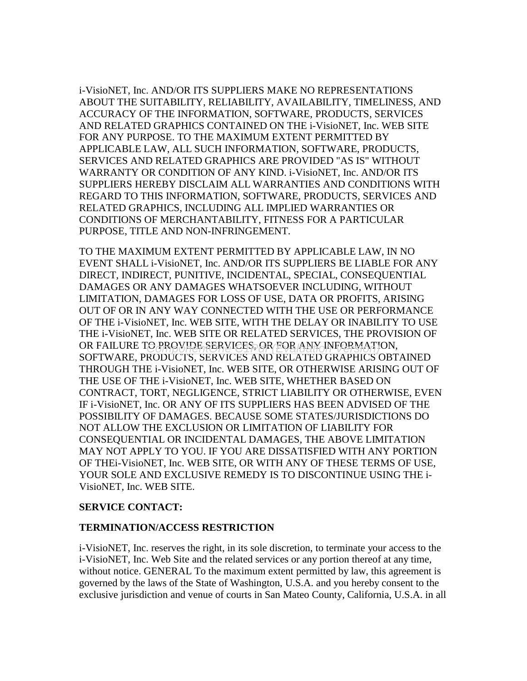i-VisioNET, Inc. AND/OR ITS SUPPLIERS MAKE NO REPRESENTATIONS ABOUT THE SUITABILITY, RELIABILITY, AVAILABILITY, TIMELINESS, AND ACCURACY OF THE INFORMATION, SOFTWARE, PRODUCTS, SERVICES AND RELATED GRAPHICS CONTAINED ON THE i-VisioNET, Inc. WEB SITE FOR ANY PURPOSE. TO THE MAXIMUM EXTENT PERMITTED BY APPLICABLE LAW, ALL SUCH INFORMATION, SOFTWARE, PRODUCTS, SERVICES AND RELATED GRAPHICS ARE PROVIDED "AS IS" WITHOUT WARRANTY OR CONDITION OF ANY KIND. i-VisioNET, Inc. AND/OR ITS SUPPLIERS HEREBY DISCLAIM ALL WARRANTIES AND CONDITIONS WITH REGARD TO THIS INFORMATION, SOFTWARE, PRODUCTS, SERVICES AND RELATED GRAPHICS, INCLUDING ALL IMPLIED WARRANTIES OR CONDITIONS OF MERCHANTABILITY, FITNESS FOR A PARTICULAR PURPOSE, TITLE AND NON-INFRINGEMENT.

TO THE MAXIMUM EXTENT PERMITTED BY APPLICABLE LAW, IN NO EVENT SHALL i-VisioNET, Inc. AND/OR ITS SUPPLIERS BE LIABLE FOR ANY DIRECT, INDIRECT, PUNITIVE, INCIDENTAL, SPECIAL, CONSEQUENTIAL DAMAGES OR ANY DAMAGES WHATSOEVER INCLUDING, WITHOUT LIMITATION, DAMAGES FOR LOSS OF USE, DATA OR PROFITS, ARISING OUT OF OR IN ANY WAY CONNECTED WITH THE USE OR PERFORMANCE OF THE i-VisioNET, Inc. WEB SITE, WITH THE DELAY OR INABILITY TO USE THE i-VisioNET, Inc. WEB SITE OR RELATED SERVICES, THE PROVISION OF OR FAILURE TO PROVIDE SERVICES, OR FOR ANY INFORMATION, SOFTWARE, PRODUCTS, SERVICES AND RELATED GRAPHICS OBTAINED THROUGH THE i-VisioNET, Inc. WEB SITE, OR OTHERWISE ARISING OUT OF THE USE OF THE i-VisioNET, Inc. WEB SITE, WHETHER BASED ON CONTRACT, TORT, NEGLIGENCE, STRICT LIABILITY OR OTHERWISE, EVEN IF i-VisioNET, Inc. OR ANY OF ITS SUPPLIERS HAS BEEN ADVISED OF THE POSSIBILITY OF DAMAGES. BECAUSE SOME STATES/JURISDICTIONS DO NOT ALLOW THE EXCLUSION OR LIMITATION OF LIABILITY FOR CONSEQUENTIAL OR INCIDENTAL DAMAGES, THE ABOVE LIMITATION MAY NOT APPLY TO YOU. IF YOU ARE DISSATISFIED WITH ANY PORTION OF THEi-VisioNET, Inc. WEB SITE, OR WITH ANY OF THESE TERMS OF USE, YOUR SOLE AND EXCLUSIVE REMEDY IS TO DISCONTINUE USING THE i-VisioNET, Inc. WEB SITE.

#### **SERVICE CONTACT:**

#### **TERMINATION/ACCESS RESTRICTION**

i-VisioNET, Inc. reserves the right, in its sole discretion, to terminate your access to the i-VisioNET, Inc. Web Site and the related services or any portion thereof at any time, without notice. GENERAL To the maximum extent permitted by law, this agreement is governed by the laws of the State of Washington, U.S.A. and you hereby consent to the exclusive jurisdiction and venue of courts in San Mateo County, California, U.S.A. in all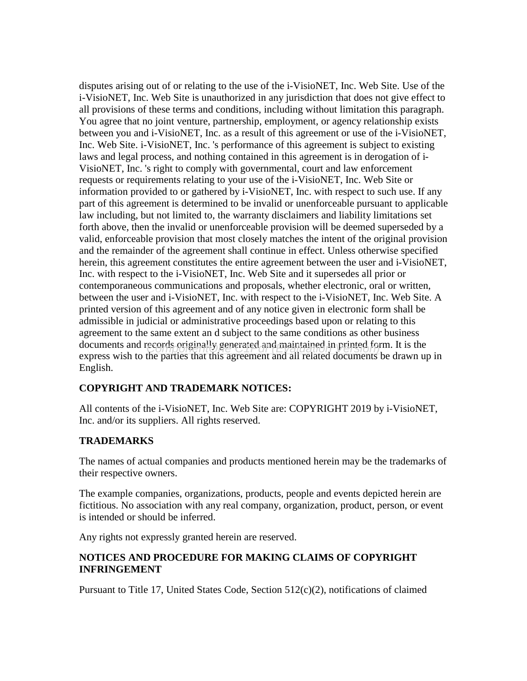disputes arising out of or relating to the use of the i-VisioNET, Inc. Web Site. Use of the i-VisioNET, Inc. Web Site is unauthorized in any jurisdiction that does not give effect to all provisions of these terms and conditions, including without limitation this paragraph. You agree that no joint venture, partnership, employment, or agency relationship exists between you and i-VisioNET, Inc. as a result of this agreement or use of the i-VisioNET, Inc. Web Site. i-VisioNET, Inc. 's performance of this agreement is subject to existing laws and legal process, and nothing contained in this agreement is in derogation of i-VisioNET, Inc. 's right to comply with governmental, court and law enforcement requests or requirements relating to your use of the i-VisioNET, Inc. Web Site or information provided to or gathered by i-VisioNET, Inc. with respect to such use. If any part of this agreement is determined to be invalid or unenforceable pursuant to applicable law including, but not limited to, the warranty disclaimers and liability limitations set forth above, then the invalid or unenforceable provision will be deemed superseded by a valid, enforceable provision that most closely matches the intent of the original provision and the remainder of the agreement shall continue in effect. Unless otherwise specified herein, this agreement constitutes the entire agreement between the user and i-VisioNET, Inc. with respect to the i-VisioNET, Inc. Web Site and it supersedes all prior or contemporaneous communications and proposals, whether electronic, oral or written, between the user and i-VisioNET, Inc. with respect to the i-VisioNET, Inc. Web Site. A printed version of this agreement and of any notice given in electronic form shall be admissible in judicial or administrative proceedings based upon or relating to this agreement to the same extent an d subject to the same conditions as other business documents and records originally generated and maintained in printed form. It is the express wish to the parties that this agreement and all related documents be drawn up in English.

#### **COPYRIGHT AND TRADEMARK NOTICES:**

All contents of the i-VisioNET, Inc. Web Site are: COPYRIGHT 2019 by i-VisioNET, Inc. and/or its suppliers. All rights reserved.

#### **TRADEMARKS**

The names of actual companies and products mentioned herein may be the trademarks of their respective owners.

The example companies, organizations, products, people and events depicted herein are fictitious. No association with any real company, organization, product, person, or event is intended or should be inferred.

Any rights not expressly granted herein are reserved.

#### **NOTICES AND PROCEDURE FOR MAKING CLAIMS OF COPYRIGHT INFRINGEMENT**

Pursuant to Title 17, United States Code, Section 512(c)(2), notifications of claimed